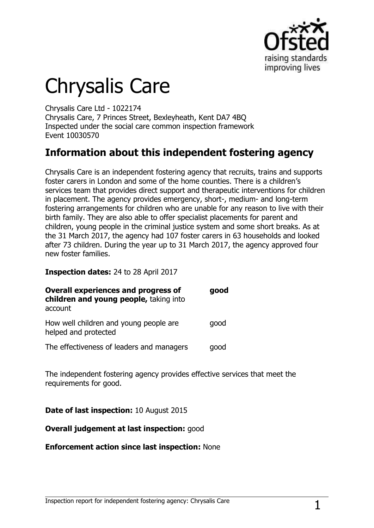

# Chrysalis Care

Chrysalis Care Ltd - 1022174 Chrysalis Care, 7 Princes Street, Bexleyheath, Kent DA7 4BQ Inspected under the social care common inspection framework Event 10030570

## **Information about this independent fostering agency**

Chrysalis Care is an independent fostering agency that recruits, trains and supports foster carers in London and some of the home counties. There is a children's services team that provides direct support and therapeutic interventions for children in placement. The agency provides emergency, short-, medium- and long-term fostering arrangements for children who are unable for any reason to live with their birth family. They are also able to offer specialist placements for parent and children, young people in the criminal justice system and some short breaks. As at the 31 March 2017, the agency had 107 foster carers in 63 households and looked after 73 children. During the year up to 31 March 2017, the agency approved four new foster families.

**Inspection dates:** 24 to 28 April 2017

| <b>Overall experiences and progress of</b><br>children and young people, taking into<br>account | good |
|-------------------------------------------------------------------------------------------------|------|
| How well children and young people are<br>helped and protected                                  | qood |
| The effectiveness of leaders and managers                                                       | good |

The independent fostering agency provides effective services that meet the requirements for good.

**Date of last inspection:** 10 August 2015

**Overall judgement at last inspection:** good

**Enforcement action since last inspection:** None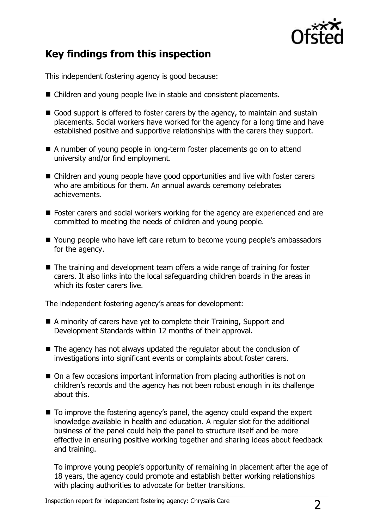

# **Key findings from this inspection**

This independent fostering agency is good because:

- Children and young people live in stable and consistent placements.
- Good support is offered to foster carers by the agency, to maintain and sustain placements. Social workers have worked for the agency for a long time and have established positive and supportive relationships with the carers they support.
- A number of young people in long-term foster placements go on to attend university and/or find employment.
- Children and young people have good opportunities and live with foster carers who are ambitious for them. An annual awards ceremony celebrates achievements.
- Foster carers and social workers working for the agency are experienced and are committed to meeting the needs of children and young people.
- Young people who have left care return to become young people's ambassadors for the agency.
- The training and development team offers a wide range of training for foster carers. It also links into the local safeguarding children boards in the areas in which its foster carers live.

The independent fostering agency's areas for development:

- A minority of carers have yet to complete their Training, Support and Development Standards within 12 months of their approval.
- The agency has not always updated the regulator about the conclusion of investigations into significant events or complaints about foster carers.
- On a few occasions important information from placing authorities is not on children's records and the agency has not been robust enough in its challenge about this.
- To improve the fostering agency's panel, the agency could expand the expert knowledge available in health and education. A regular slot for the additional business of the panel could help the panel to structure itself and be more effective in ensuring positive working together and sharing ideas about feedback and training.

To improve young people's opportunity of remaining in placement after the age of 18 years, the agency could promote and establish better working relationships with placing authorities to advocate for better transitions.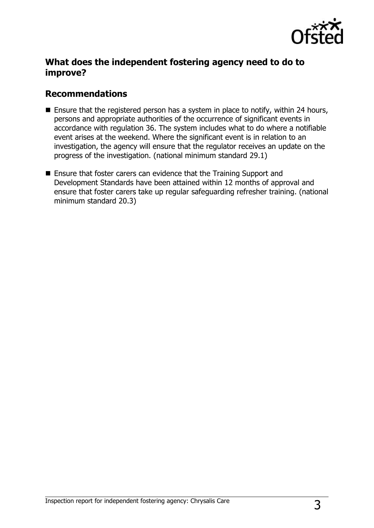

## **What does the independent fostering agency need to do to improve?**

### **Recommendations**

- **E** Ensure that the registered person has a system in place to notify, within 24 hours, persons and appropriate authorities of the occurrence of significant events in accordance with regulation 36. The system includes what to do where a notifiable event arises at the weekend. Where the significant event is in relation to an investigation, the agency will ensure that the regulator receives an update on the progress of the investigation. (national minimum standard 29.1)
- Ensure that foster carers can evidence that the Training Support and Development Standards have been attained within 12 months of approval and ensure that foster carers take up regular safeguarding refresher training. (national minimum standard 20.3)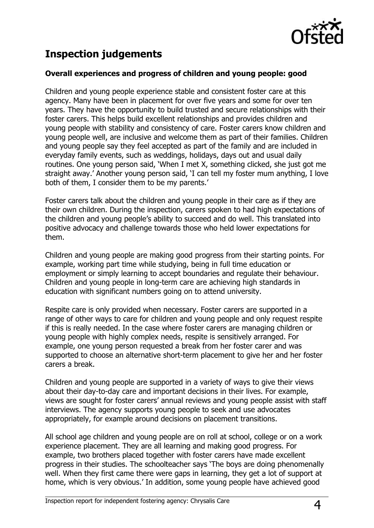

# **Inspection judgements**

#### **Overall experiences and progress of children and young people: good**

Children and young people experience stable and consistent foster care at this agency. Many have been in placement for over five years and some for over ten years. They have the opportunity to build trusted and secure relationships with their foster carers. This helps build excellent relationships and provides children and young people with stability and consistency of care. Foster carers know children and young people well, are inclusive and welcome them as part of their families. Children and young people say they feel accepted as part of the family and are included in everyday family events, such as weddings, holidays, days out and usual daily routines. One young person said, 'When I met X, something clicked, she just got me straight away.' Another young person said, 'I can tell my foster mum anything, I love both of them, I consider them to be my parents.'

Foster carers talk about the children and young people in their care as if they are their own children. During the inspection, carers spoken to had high expectations of the children and young people's ability to succeed and do well. This translated into positive advocacy and challenge towards those who held lower expectations for them.

Children and young people are making good progress from their starting points. For example, working part time while studying, being in full time education or employment or simply learning to accept boundaries and regulate their behaviour. Children and young people in long-term care are achieving high standards in education with significant numbers going on to attend university.

Respite care is only provided when necessary. Foster carers are supported in a range of other ways to care for children and young people and only request respite if this is really needed. In the case where foster carers are managing children or young people with highly complex needs, respite is sensitively arranged. For example, one young person requested a break from her foster carer and was supported to choose an alternative short-term placement to give her and her foster carers a break.

Children and young people are supported in a variety of ways to give their views about their day-to-day care and important decisions in their lives. For example, views are sought for foster carers' annual reviews and young people assist with staff interviews. The agency supports young people to seek and use advocates appropriately, for example around decisions on placement transitions.

All school age children and young people are on roll at school, college or on a work experience placement. They are all learning and making good progress. For example, two brothers placed together with foster carers have made excellent progress in their studies. The schoolteacher says 'The boys are doing phenomenally well. When they first came there were gaps in learning, they get a lot of support at home, which is very obvious.' In addition, some young people have achieved good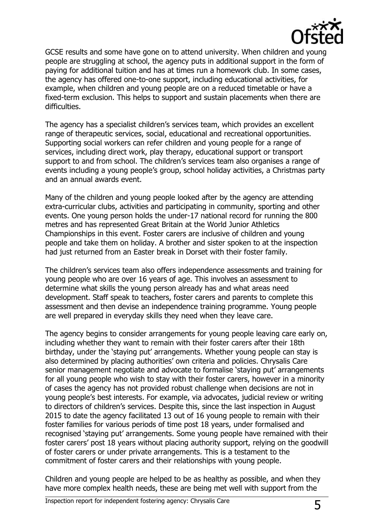

GCSE results and some have gone on to attend university. When children and young people are struggling at school, the agency puts in additional support in the form of paying for additional tuition and has at times run a homework club. In some cases, the agency has offered one-to-one support, including educational activities, for example, when children and young people are on a reduced timetable or have a fixed-term exclusion. This helps to support and sustain placements when there are difficulties.

The agency has a specialist children's services team, which provides an excellent range of therapeutic services, social, educational and recreational opportunities. Supporting social workers can refer children and young people for a range of services, including direct work, play therapy, educational support or transport support to and from school. The children's services team also organises a range of events including a young people's group, school holiday activities, a Christmas party and an annual awards event.

Many of the children and young people looked after by the agency are attending extra-curricular clubs, activities and participating in community, sporting and other events. One young person holds the under-17 national record for running the 800 metres and has represented Great Britain at the World Junior Athletics Championships in this event. Foster carers are inclusive of children and young people and take them on holiday. A brother and sister spoken to at the inspection had just returned from an Easter break in Dorset with their foster family.

The children's services team also offers independence assessments and training for young people who are over 16 years of age. This involves an assessment to determine what skills the young person already has and what areas need development. Staff speak to teachers, foster carers and parents to complete this assessment and then devise an independence training programme. Young people are well prepared in everyday skills they need when they leave care.

The agency begins to consider arrangements for young people leaving care early on, including whether they want to remain with their foster carers after their 18th birthday, under the 'staying put' arrangements. Whether young people can stay is also determined by placing authorities' own criteria and policies. Chrysalis Care senior management negotiate and advocate to formalise 'staying put' arrangements for all young people who wish to stay with their foster carers, however in a minority of cases the agency has not provided robust challenge when decisions are not in young people's best interests. For example, via advocates, judicial review or writing to directors of children's services. Despite this, since the last inspection in August 2015 to date the agency facilitated 13 out of 16 young people to remain with their foster families for various periods of time post 18 years, under formalised and recognised 'staying put' arrangements. Some young people have remained with their foster carers' post 18 years without placing authority support, relying on the goodwill of foster carers or under private arrangements. This is a testament to the commitment of foster carers and their relationships with young people.

Children and young people are helped to be as healthy as possible, and when they have more complex health needs, these are being met well with support from the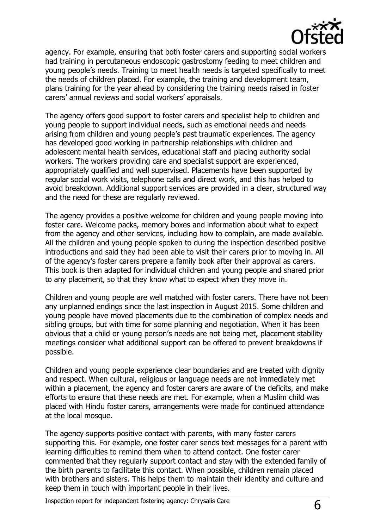

agency. For example, ensuring that both foster carers and supporting social workers had training in percutaneous endoscopic gastrostomy feeding to meet children and young people's needs. Training to meet health needs is targeted specifically to meet the needs of children placed. For example, the training and development team, plans training for the year ahead by considering the training needs raised in foster carers' annual reviews and social workers' appraisals.

The agency offers good support to foster carers and specialist help to children and young people to support individual needs, such as emotional needs and needs arising from children and young people's past traumatic experiences. The agency has developed good working in partnership relationships with children and adolescent mental health services, educational staff and placing authority social workers. The workers providing care and specialist support are experienced, appropriately qualified and well supervised. Placements have been supported by regular social work visits, telephone calls and direct work, and this has helped to avoid breakdown. Additional support services are provided in a clear, structured way and the need for these are regularly reviewed.

The agency provides a positive welcome for children and young people moving into foster care. Welcome packs, memory boxes and information about what to expect from the agency and other services, including how to complain, are made available. All the children and young people spoken to during the inspection described positive introductions and said they had been able to visit their carers prior to moving in. All of the agency's foster carers prepare a family book after their approval as carers. This book is then adapted for individual children and young people and shared prior to any placement, so that they know what to expect when they move in.

Children and young people are well matched with foster carers. There have not been any unplanned endings since the last inspection in August 2015. Some children and young people have moved placements due to the combination of complex needs and sibling groups, but with time for some planning and negotiation. When it has been obvious that a child or young person's needs are not being met, placement stability meetings consider what additional support can be offered to prevent breakdowns if possible.

Children and young people experience clear boundaries and are treated with dignity and respect. When cultural, religious or language needs are not immediately met within a placement, the agency and foster carers are aware of the deficits, and make efforts to ensure that these needs are met. For example, when a Muslim child was placed with Hindu foster carers, arrangements were made for continued attendance at the local mosque.

The agency supports positive contact with parents, with many foster carers supporting this. For example, one foster carer sends text messages for a parent with learning difficulties to remind them when to attend contact. One foster carer commented that they regularly support contact and stay with the extended family of the birth parents to facilitate this contact. When possible, children remain placed with brothers and sisters. This helps them to maintain their identity and culture and keep them in touch with important people in their lives.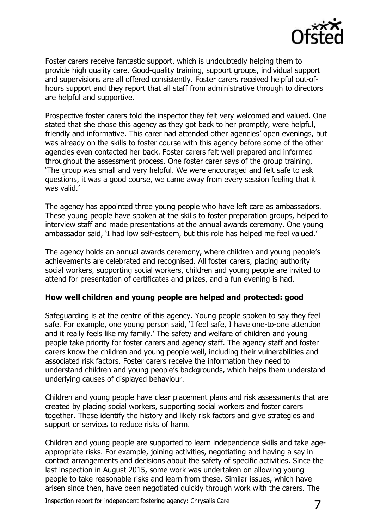

Foster carers receive fantastic support, which is undoubtedly helping them to provide high quality care. Good-quality training, support groups, individual support and supervisions are all offered consistently. Foster carers received helpful out-ofhours support and they report that all staff from administrative through to directors are helpful and supportive.

Prospective foster carers told the inspector they felt very welcomed and valued. One stated that she chose this agency as they got back to her promptly, were helpful, friendly and informative. This carer had attended other agencies' open evenings, but was already on the skills to foster course with this agency before some of the other agencies even contacted her back. Foster carers felt well prepared and informed throughout the assessment process. One foster carer says of the group training, 'The group was small and very helpful. We were encouraged and felt safe to ask questions, it was a good course, we came away from every session feeling that it was valid.'

The agency has appointed three young people who have left care as ambassadors. These young people have spoken at the skills to foster preparation groups, helped to interview staff and made presentations at the annual awards ceremony. One young ambassador said, 'I had low self-esteem, but this role has helped me feel valued.'

The agency holds an annual awards ceremony, where children and young people's achievements are celebrated and recognised. All foster carers, placing authority social workers, supporting social workers, children and young people are invited to attend for presentation of certificates and prizes, and a fun evening is had.

#### **How well children and young people are helped and protected: good**

Safeguarding is at the centre of this agency. Young people spoken to say they feel safe. For example, one young person said, 'I feel safe, I have one-to-one attention and it really feels like my family.' The safety and welfare of children and young people take priority for foster carers and agency staff. The agency staff and foster carers know the children and young people well, including their vulnerabilities and associated risk factors. Foster carers receive the information they need to understand children and young people's backgrounds, which helps them understand underlying causes of displayed behaviour.

Children and young people have clear placement plans and risk assessments that are created by placing social workers, supporting social workers and foster carers together. These identify the history and likely risk factors and give strategies and support or services to reduce risks of harm.

Children and young people are supported to learn independence skills and take ageappropriate risks. For example, joining activities, negotiating and having a say in contact arrangements and decisions about the safety of specific activities. Since the last inspection in August 2015, some work was undertaken on allowing young people to take reasonable risks and learn from these. Similar issues, which have arisen since then, have been negotiated quickly through work with the carers. The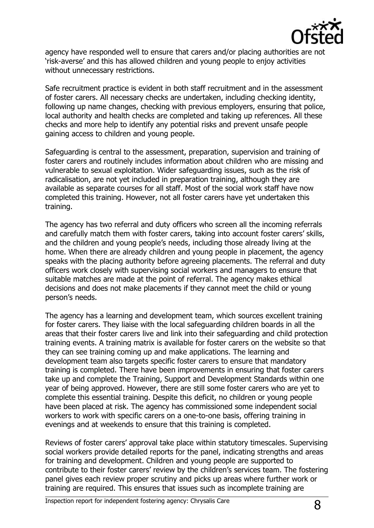

agency have responded well to ensure that carers and/or placing authorities are not 'risk-averse' and this has allowed children and young people to enjoy activities without unnecessary restrictions.

Safe recruitment practice is evident in both staff recruitment and in the assessment of foster carers. All necessary checks are undertaken, including checking identity, following up name changes, checking with previous employers, ensuring that police, local authority and health checks are completed and taking up references. All these checks and more help to identify any potential risks and prevent unsafe people gaining access to children and young people.

Safeguarding is central to the assessment, preparation, supervision and training of foster carers and routinely includes information about children who are missing and vulnerable to sexual exploitation. Wider safeguarding issues, such as the risk of radicalisation, are not yet included in preparation training, although they are available as separate courses for all staff. Most of the social work staff have now completed this training. However, not all foster carers have yet undertaken this training.

The agency has two referral and duty officers who screen all the incoming referrals and carefully match them with foster carers, taking into account foster carers' skills, and the children and young people's needs, including those already living at the home. When there are already children and young people in placement, the agency speaks with the placing authority before agreeing placements. The referral and duty officers work closely with supervising social workers and managers to ensure that suitable matches are made at the point of referral. The agency makes ethical decisions and does not make placements if they cannot meet the child or young person's needs.

The agency has a learning and development team, which sources excellent training for foster carers. They liaise with the local safeguarding children boards in all the areas that their foster carers live and link into their safeguarding and child protection training events. A training matrix is available for foster carers on the website so that they can see training coming up and make applications. The learning and development team also targets specific foster carers to ensure that mandatory training is completed. There have been improvements in ensuring that foster carers take up and complete the Training, Support and Development Standards within one year of being approved. However, there are still some foster carers who are yet to complete this essential training. Despite this deficit, no children or young people have been placed at risk. The agency has commissioned some independent social workers to work with specific carers on a one-to-one basis, offering training in evenings and at weekends to ensure that this training is completed.

Reviews of foster carers' approval take place within statutory timescales. Supervising social workers provide detailed reports for the panel, indicating strengths and areas for training and development. Children and young people are supported to contribute to their foster carers' review by the children's services team. The fostering panel gives each review proper scrutiny and picks up areas where further work or training are required. This ensures that issues such as incomplete training are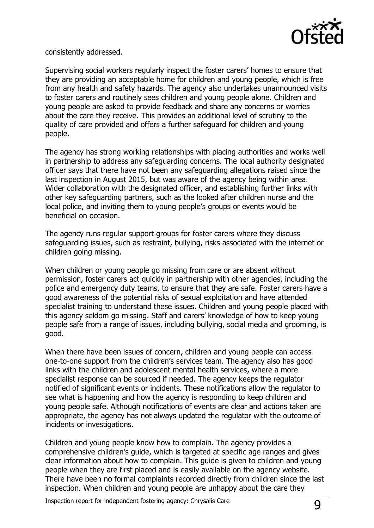

consistently addressed.

Supervising social workers regularly inspect the foster carers' homes to ensure that they are providing an acceptable home for children and young people, which is free from any health and safety hazards. The agency also undertakes unannounced visits to foster carers and routinely sees children and young people alone. Children and young people are asked to provide feedback and share any concerns or worries about the care they receive. This provides an additional level of scrutiny to the quality of care provided and offers a further safeguard for children and young people.

The agency has strong working relationships with placing authorities and works well in partnership to address any safeguarding concerns. The local authority designated officer says that there have not been any safeguarding allegations raised since the last inspection in August 2015, but was aware of the agency being within area. Wider collaboration with the designated officer, and establishing further links with other key safeguarding partners, such as the looked after children nurse and the local police, and inviting them to young people's groups or events would be beneficial on occasion.

The agency runs regular support groups for foster carers where they discuss safeguarding issues, such as restraint, bullying, risks associated with the internet or children going missing.

When children or young people go missing from care or are absent without permission, foster carers act quickly in partnership with other agencies, including the police and emergency duty teams, to ensure that they are safe. Foster carers have a good awareness of the potential risks of sexual exploitation and have attended specialist training to understand these issues. Children and young people placed with this agency seldom go missing. Staff and carers' knowledge of how to keep young people safe from a range of issues, including bullying, social media and grooming, is good.

When there have been issues of concern, children and young people can access one-to-one support from the children's services team. The agency also has good links with the children and adolescent mental health services, where a more specialist response can be sourced if needed. The agency keeps the regulator notified of significant events or incidents. These notifications allow the regulator to see what is happening and how the agency is responding to keep children and young people safe. Although notifications of events are clear and actions taken are appropriate, the agency has not always updated the regulator with the outcome of incidents or investigations.

Children and young people know how to complain. The agency provides a comprehensive children's guide, which is targeted at specific age ranges and gives clear information about how to complain. This guide is given to children and young people when they are first placed and is easily available on the agency website. There have been no formal complaints recorded directly from children since the last inspection. When children and young people are unhappy about the care they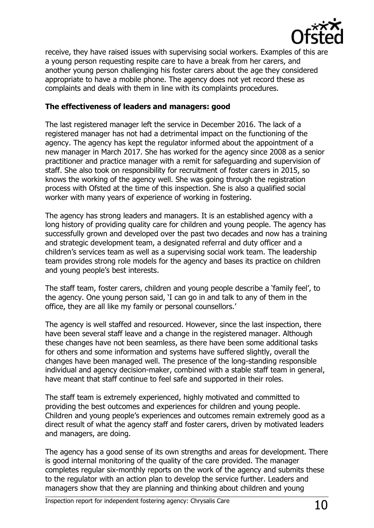

receive, they have raised issues with supervising social workers. Examples of this are a young person requesting respite care to have a break from her carers, and another young person challenging his foster carers about the age they considered appropriate to have a mobile phone. The agency does not yet record these as complaints and deals with them in line with its complaints procedures.

#### **The effectiveness of leaders and managers: good**

The last registered manager left the service in December 2016. The lack of a registered manager has not had a detrimental impact on the functioning of the agency. The agency has kept the regulator informed about the appointment of a new manager in March 2017. She has worked for the agency since 2008 as a senior practitioner and practice manager with a remit for safeguarding and supervision of staff. She also took on responsibility for recruitment of foster carers in 2015, so knows the working of the agency well. She was going through the registration process with Ofsted at the time of this inspection. She is also a qualified social worker with many years of experience of working in fostering.

The agency has strong leaders and managers. It is an established agency with a long history of providing quality care for children and young people. The agency has successfully grown and developed over the past two decades and now has a training and strategic development team, a designated referral and duty officer and a children's services team as well as a supervising social work team. The leadership team provides strong role models for the agency and bases its practice on children and young people's best interests.

The staff team, foster carers, children and young people describe a 'family feel', to the agency. One young person said, 'I can go in and talk to any of them in the office, they are all like my family or personal counsellors.'

The agency is well staffed and resourced. However, since the last inspection, there have been several staff leave and a change in the registered manager. Although these changes have not been seamless, as there have been some additional tasks for others and some information and systems have suffered slightly, overall the changes have been managed well. The presence of the long-standing responsible individual and agency decision-maker, combined with a stable staff team in general, have meant that staff continue to feel safe and supported in their roles.

The staff team is extremely experienced, highly motivated and committed to providing the best outcomes and experiences for children and young people. Children and young people's experiences and outcomes remain extremely good as a direct result of what the agency staff and foster carers, driven by motivated leaders and managers, are doing.

The agency has a good sense of its own strengths and areas for development. There is good internal monitoring of the quality of the care provided. The manager completes regular six-monthly reports on the work of the agency and submits these to the regulator with an action plan to develop the service further. Leaders and managers show that they are planning and thinking about children and young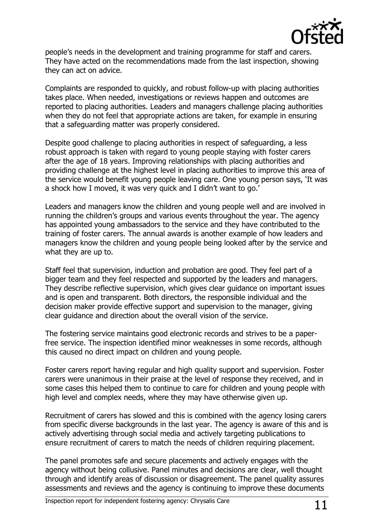

people's needs in the development and training programme for staff and carers. They have acted on the recommendations made from the last inspection, showing they can act on advice.

Complaints are responded to quickly, and robust follow-up with placing authorities takes place. When needed, investigations or reviews happen and outcomes are reported to placing authorities. Leaders and managers challenge placing authorities when they do not feel that appropriate actions are taken, for example in ensuring that a safeguarding matter was properly considered.

Despite good challenge to placing authorities in respect of safeguarding, a less robust approach is taken with regard to young people staying with foster carers after the age of 18 years. Improving relationships with placing authorities and providing challenge at the highest level in placing authorities to improve this area of the service would benefit young people leaving care. One young person says, 'It was a shock how I moved, it was very quick and I didn't want to go.'

Leaders and managers know the children and young people well and are involved in running the children's groups and various events throughout the year. The agency has appointed young ambassadors to the service and they have contributed to the training of foster carers. The annual awards is another example of how leaders and managers know the children and young people being looked after by the service and what they are up to.

Staff feel that supervision, induction and probation are good. They feel part of a bigger team and they feel respected and supported by the leaders and managers. They describe reflective supervision, which gives clear guidance on important issues and is open and transparent. Both directors, the responsible individual and the decision maker provide effective support and supervision to the manager, giving clear guidance and direction about the overall vision of the service.

The fostering service maintains good electronic records and strives to be a paperfree service. The inspection identified minor weaknesses in some records, although this caused no direct impact on children and young people.

Foster carers report having regular and high quality support and supervision. Foster carers were unanimous in their praise at the level of response they received, and in some cases this helped them to continue to care for children and young people with high level and complex needs, where they may have otherwise given up.

Recruitment of carers has slowed and this is combined with the agency losing carers from specific diverse backgrounds in the last year. The agency is aware of this and is actively advertising through social media and actively targeting publications to ensure recruitment of carers to match the needs of children requiring placement.

The panel promotes safe and secure placements and actively engages with the agency without being collusive. Panel minutes and decisions are clear, well thought through and identify areas of discussion or disagreement. The panel quality assures assessments and reviews and the agency is continuing to improve these documents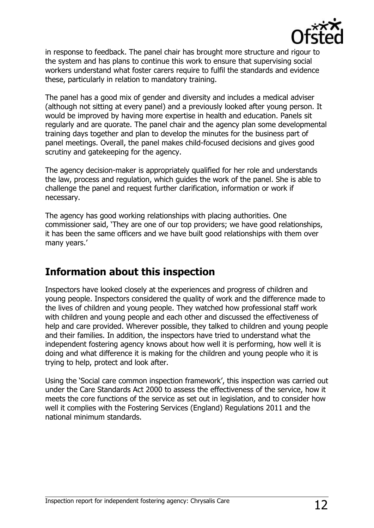

in response to feedback. The panel chair has brought more structure and rigour to the system and has plans to continue this work to ensure that supervising social workers understand what foster carers require to fulfil the standards and evidence these, particularly in relation to mandatory training.

The panel has a good mix of gender and diversity and includes a medical adviser (although not sitting at every panel) and a previously looked after young person. It would be improved by having more expertise in health and education. Panels sit regularly and are quorate. The panel chair and the agency plan some developmental training days together and plan to develop the minutes for the business part of panel meetings. Overall, the panel makes child-focused decisions and gives good scrutiny and gatekeeping for the agency.

The agency decision-maker is appropriately qualified for her role and understands the law, process and regulation, which guides the work of the panel. She is able to challenge the panel and request further clarification, information or work if necessary.

The agency has good working relationships with placing authorities. One commissioner said, 'They are one of our top providers; we have good relationships, it has been the same officers and we have built good relationships with them over many years.'

## **Information about this inspection**

Inspectors have looked closely at the experiences and progress of children and young people. Inspectors considered the quality of work and the difference made to the lives of children and young people. They watched how professional staff work with children and young people and each other and discussed the effectiveness of help and care provided. Wherever possible, they talked to children and young people and their families. In addition, the inspectors have tried to understand what the independent fostering agency knows about how well it is performing, how well it is doing and what difference it is making for the children and young people who it is trying to help, protect and look after.

Using the 'Social care common inspection framework', this inspection was carried out under the Care Standards Act 2000 to assess the effectiveness of the service, how it meets the core functions of the service as set out in legislation, and to consider how well it complies with the Fostering Services (England) Regulations 2011 and the national minimum standards.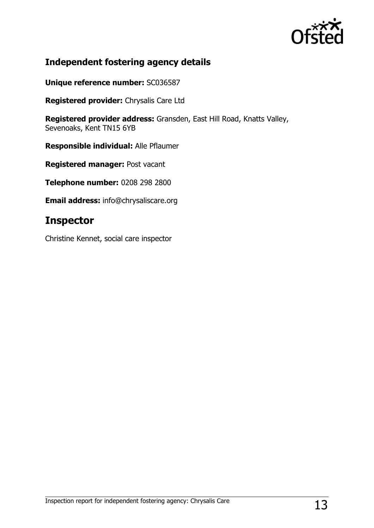

## **Independent fostering agency details**

**Unique reference number:** SC036587

**Registered provider:** Chrysalis Care Ltd

**Registered provider address:** Gransden, East Hill Road, Knatts Valley, Sevenoaks, Kent TN15 6YB

**Responsible individual:** Alle Pflaumer

**Registered manager:** Post vacant

**Telephone number:** 0208 298 2800

**Email address:** info@chrysaliscare.org

## **Inspector**

Christine Kennet, social care inspector